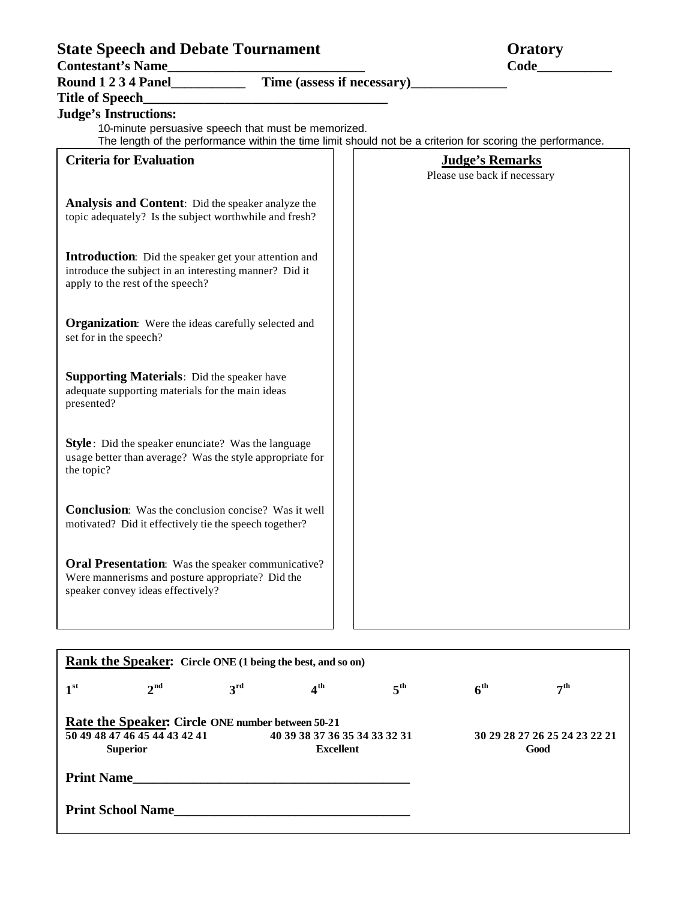| <b>State Speech and Debate Tournament</b><br>Contestant's Name                                                                                                                                    | <b>Oratory</b><br>Code |                                                        |  |
|---------------------------------------------------------------------------------------------------------------------------------------------------------------------------------------------------|------------------------|--------------------------------------------------------|--|
|                                                                                                                                                                                                   |                        |                                                        |  |
| <b>Title of Speech</b>                                                                                                                                                                            |                        |                                                        |  |
| <b>Judge's Instructions:</b><br>10-minute persuasive speech that must be memorized.<br>The length of the performance within the time limit should not be a criterion for scoring the performance. |                        |                                                        |  |
| <b>Criteria for Evaluation</b>                                                                                                                                                                    |                        | <b>Judge's Remarks</b><br>Please use back if necessary |  |
| <b>Analysis and Content:</b> Did the speaker analyze the<br>topic adequately? Is the subject worthwhile and fresh?                                                                                |                        |                                                        |  |
| <b>Introduction:</b> Did the speaker get your attention and<br>introduce the subject in an interesting manner? Did it<br>apply to the rest of the speech?                                         |                        |                                                        |  |
| <b>Organization:</b> Were the ideas carefully selected and<br>set for in the speech?                                                                                                              |                        |                                                        |  |
| <b>Supporting Materials:</b> Did the speaker have<br>adequate supporting materials for the main ideas<br>presented?                                                                               |                        |                                                        |  |
| <b>Style</b> : Did the speaker enunciate? Was the language<br>usage better than average? Was the style appropriate for<br>the topic?                                                              |                        |                                                        |  |
| <b>Conclusion:</b> Was the conclusion concise? Was it well<br>motivated? Did it effectively tie the speech together?                                                                              |                        |                                                        |  |
| <b>Oral Presentation:</b> Was the speaker communicative?<br>Were mannerisms and posture appropriate? Did the<br>speaker convey ideas effectively?                                                 |                        |                                                        |  |

| <b>Rank the Speaker:</b> Circle ONE (1 being the best, and so on) |                 |                 |                               |                 |                               |                |  |  |
|-------------------------------------------------------------------|-----------------|-----------------|-------------------------------|-----------------|-------------------------------|----------------|--|--|
| 1 <sup>st</sup>                                                   | 2 <sup>nd</sup> | 3 <sup>rd</sup> | 4 <sup>th</sup>               | 5 <sup>th</sup> | 6 <sup>th</sup>               | $\bm{\tau}$ th |  |  |
| <b>Rate the Speaker: Circle ONE number between 50-21</b>          |                 |                 |                               |                 |                               |                |  |  |
| 50 49 48 47 46 45 44 43 42 41                                     |                 |                 | 40 39 38 37 36 35 34 33 32 31 |                 | 30 29 28 27 26 25 24 23 22 21 |                |  |  |
| <b>Superior</b>                                                   |                 |                 | <b>Excellent</b>              |                 | Good                          |                |  |  |
| <b>Print Name</b>                                                 |                 |                 |                               |                 |                               |                |  |  |
| <b>Print School Name</b>                                          |                 |                 |                               |                 |                               |                |  |  |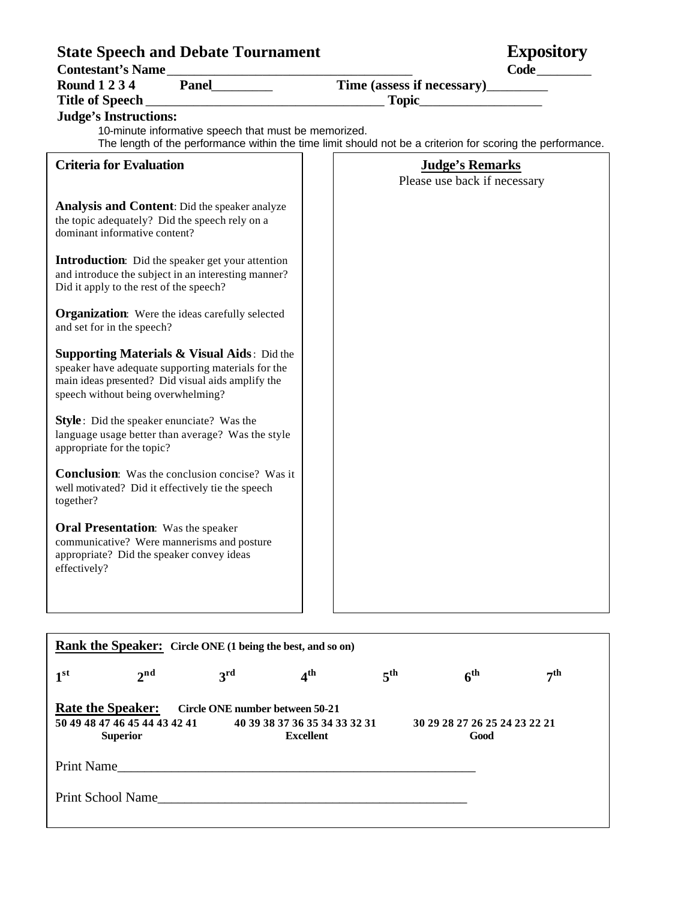## **State Speech and Debate Tournament Expository**

|  | <b>Expository</b> |  |
|--|-------------------|--|

| <b>Contestant's Name</b>                   |       | Code                       |  |
|--------------------------------------------|-------|----------------------------|--|
| <b>Round 1 2 3 4</b>                       | Panel | Time (assess if necessary) |  |
| Title of Speech                            |       | Topic                      |  |
| $\mathbf{r}$ , $\mathbf{r}$ , $\mathbf{r}$ |       |                            |  |

# **Judge's Instructions:**

10-minute informative speech that must be memorized. The length of the performance within the time limit should not be a criterion for scoring the performance.

| <b>Criteria for Evaluation</b>                                                                                                                                                                          | <b>Judge's Remarks</b><br>Please use back if necessary |
|---------------------------------------------------------------------------------------------------------------------------------------------------------------------------------------------------------|--------------------------------------------------------|
| Analysis and Content: Did the speaker analyze<br>the topic adequately? Did the speech rely on a<br>dominant informative content?                                                                        |                                                        |
| <b>Introduction:</b> Did the speaker get your attention<br>and introduce the subject in an interesting manner?<br>Did it apply to the rest of the speech?                                               |                                                        |
| <b>Organization:</b> Were the ideas carefully selected<br>and set for in the speech?                                                                                                                    |                                                        |
| <b>Supporting Materials &amp; Visual Aids:</b> Did the<br>speaker have adequate supporting materials for the<br>main ideas presented? Did visual aids amplify the<br>speech without being overwhelming? |                                                        |
| <b>Style</b> : Did the speaker enunciate? Was the<br>language usage better than average? Was the style<br>appropriate for the topic?                                                                    |                                                        |
| <b>Conclusion:</b> Was the conclusion concise? Was it<br>well motivated? Did it effectively tie the speech<br>together?                                                                                 |                                                        |
| <b>Oral Presentation:</b> Was the speaker<br>communicative? Were mannerisms and posture<br>appropriate? Did the speaker convey ideas<br>effectively?                                                    |                                                        |

| <b>Rank the Speaker:</b> Circle ONE (1 being the best, and so on)                                                                                                    |                   |                 |                 |                 |                                       |           |  |
|----------------------------------------------------------------------------------------------------------------------------------------------------------------------|-------------------|-----------------|-----------------|-----------------|---------------------------------------|-----------|--|
| 1 <sup>st</sup>                                                                                                                                                      | 2 <sup>nd</sup>   | 3 <sup>rd</sup> | 4 <sup>th</sup> | 5 <sup>th</sup> | 6 <sup>th</sup>                       | $\neg$ th |  |
| <b>Rate the Speaker:</b><br>Circle ONE number between 50-21<br>50 49 48 47 46 45 44 43 42 41<br>40 39 38 37 36 35 34 33 32 31<br><b>Excellent</b><br><b>Superior</b> |                   |                 |                 |                 | 30 29 28 27 26 25 24 23 22 21<br>Good |           |  |
| Print Name                                                                                                                                                           |                   |                 |                 |                 |                                       |           |  |
|                                                                                                                                                                      | Print School Name |                 |                 |                 |                                       |           |  |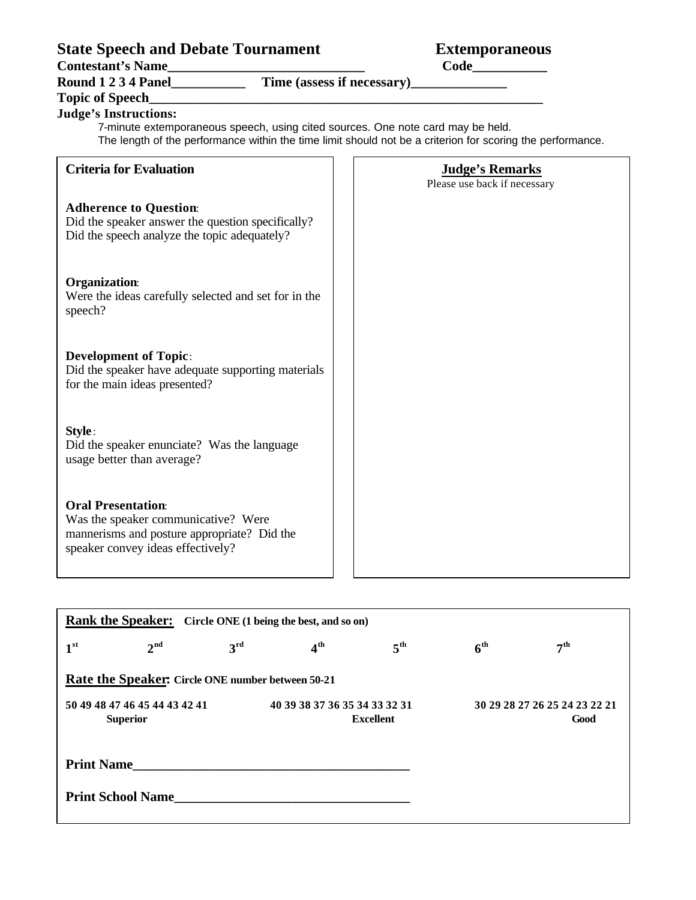# **State Speech and Debate Tournament Extemporaneous**

**Contestant's Name\_\_\_\_\_\_\_\_\_\_\_\_\_\_\_\_\_\_\_\_\_\_\_\_\_\_\_\_\_ Code\_\_\_\_\_\_\_\_\_\_\_**

**Round 1 2 3 4 Panel\_\_\_\_\_\_\_\_\_\_\_ Time (assess if necessary)\_\_\_\_\_\_\_\_\_\_\_\_\_\_**

### **Topic of Speech\_\_\_\_\_\_\_\_\_\_\_\_\_\_\_\_\_\_\_\_\_\_\_\_\_\_\_\_\_\_\_\_\_\_\_\_\_\_\_\_\_\_\_\_\_\_\_\_\_\_\_\_\_\_\_\_\_\_**

**Judge's Instructions:**  7-minute extemporaneous speech, using cited sources. One note card may be held.

The length of the performance within the time limit should not be a criterion for scoring the performance.

| <b>Criteria for Evaluation</b>                                                                                                                       | <b>Judge's Remarks</b><br>Please use back if necessary |
|------------------------------------------------------------------------------------------------------------------------------------------------------|--------------------------------------------------------|
| <b>Adherence to Question:</b><br>Did the speaker answer the question specifically?<br>Did the speech analyze the topic adequately?                   |                                                        |
| <b>Organization:</b><br>Were the ideas carefully selected and set for in the<br>speech?                                                              |                                                        |
| <b>Development of Topic:</b><br>Did the speaker have adequate supporting materials<br>for the main ideas presented?                                  |                                                        |
| Style:<br>Did the speaker enunciate? Was the language<br>usage better than average?                                                                  |                                                        |
| <b>Oral Presentation:</b><br>Was the speaker communicative? Were<br>mannerisms and posture appropriate? Did the<br>speaker convey ideas effectively? |                                                        |

| <b>Rank the Speaker:</b> Circle ONE (1 being the best, and so on) |                 |              |                                                   |              |                 |                                       |  |  |
|-------------------------------------------------------------------|-----------------|--------------|---------------------------------------------------|--------------|-----------------|---------------------------------------|--|--|
| 1 <sup>st</sup>                                                   | 2 <sup>nd</sup> | $3^{\rm rd}$ | $4^{\rm th}$                                      | $5^{\rm th}$ | 6 <sup>th</sup> | 7 <sup>th</sup>                       |  |  |
| Rate the Speaker: Circle ONE number between 50-21                 |                 |              |                                                   |              |                 |                                       |  |  |
| 50 49 48 47 46 45 44 43 42 41<br><b>Superior</b>                  |                 |              | 40 39 38 37 36 35 34 33 32 31<br><b>Excellent</b> |              |                 | 30 29 28 27 26 25 24 23 22 21<br>Good |  |  |
| <b>Print Name</b>                                                 |                 |              |                                                   |              |                 |                                       |  |  |
| <b>Print School Name</b>                                          |                 |              |                                                   |              |                 |                                       |  |  |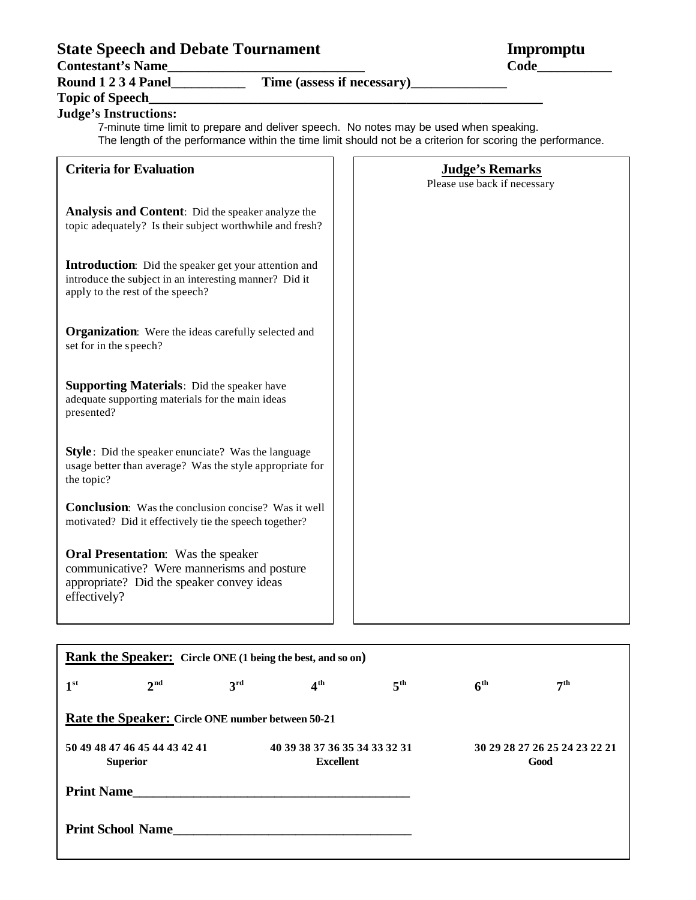# **State Speech and Debate Tournament Impromptu<br>
Contestant's Name<br>
Code**

Contestant's Name

**Round 1 2 3 4 Panel\_\_\_\_\_\_\_\_\_\_\_ Time (assess if necessary)\_\_\_\_\_\_\_\_\_\_\_\_\_\_**

## **Topic of Speech\_\_\_\_\_\_\_\_\_\_\_\_\_\_\_\_\_\_\_\_\_\_\_\_\_\_\_\_\_\_\_\_\_\_\_\_\_\_\_\_\_\_\_\_\_\_\_\_\_\_\_\_\_\_\_\_\_\_**

### **Judge's Instructions:**

7-minute time limit to prepare and deliver speech. No notes may be used when speaking. The length of the performance within the time limit should not be a criterion for scoring the performance.

| <b>Criteria for Evaluation</b>                                                                                                                       | <b>Judge's Remarks</b><br>Please use back if necessary |
|------------------------------------------------------------------------------------------------------------------------------------------------------|--------------------------------------------------------|
| <b>Analysis and Content:</b> Did the speaker analyze the<br>topic adequately? Is their subject worthwhile and fresh?                                 |                                                        |
| Introduction: Did the speaker get your attention and<br>introduce the subject in an interesting manner? Did it<br>apply to the rest of the speech?   |                                                        |
| <b>Organization:</b> Were the ideas carefully selected and<br>set for in the speech?                                                                 |                                                        |
| <b>Supporting Materials:</b> Did the speaker have<br>adequate supporting materials for the main ideas<br>presented?                                  |                                                        |
| <b>Style</b> : Did the speaker enunciate? Was the language<br>usage better than average? Was the style appropriate for<br>the topic?                 |                                                        |
| <b>Conclusion:</b> Was the conclusion concise? Was it well<br>motivated? Did it effectively tie the speech together?                                 |                                                        |
| <b>Oral Presentation:</b> Was the speaker<br>communicative? Were mannerisms and posture<br>appropriate? Did the speaker convey ideas<br>effectively? |                                                        |

| <b>Rank the Speaker:</b> Circle ONE (1 being the best, and so on) |                 |                 |                                                   |                 |                 |                               |  |
|-------------------------------------------------------------------|-----------------|-----------------|---------------------------------------------------|-----------------|-----------------|-------------------------------|--|
| 1 <sup>st</sup>                                                   | 2 <sup>nd</sup> | 3 <sup>rd</sup> | 4 <sup>th</sup>                                   | 5 <sup>th</sup> | 6 <sup>th</sup> | 7 <sup>th</sup>               |  |
| <b>Rate the Speaker: Circle ONE number between 50-21</b>          |                 |                 |                                                   |                 |                 |                               |  |
| 50 49 48 47 46 45 44 43 42 41<br><b>Superior</b>                  |                 |                 | 40 39 38 37 36 35 34 33 32 31<br><b>Excellent</b> |                 | Good            | 30 29 28 27 26 25 24 23 22 21 |  |
| <b>Print Name</b>                                                 |                 |                 |                                                   |                 |                 |                               |  |
| <b>Print School Name</b>                                          |                 |                 |                                                   |                 |                 |                               |  |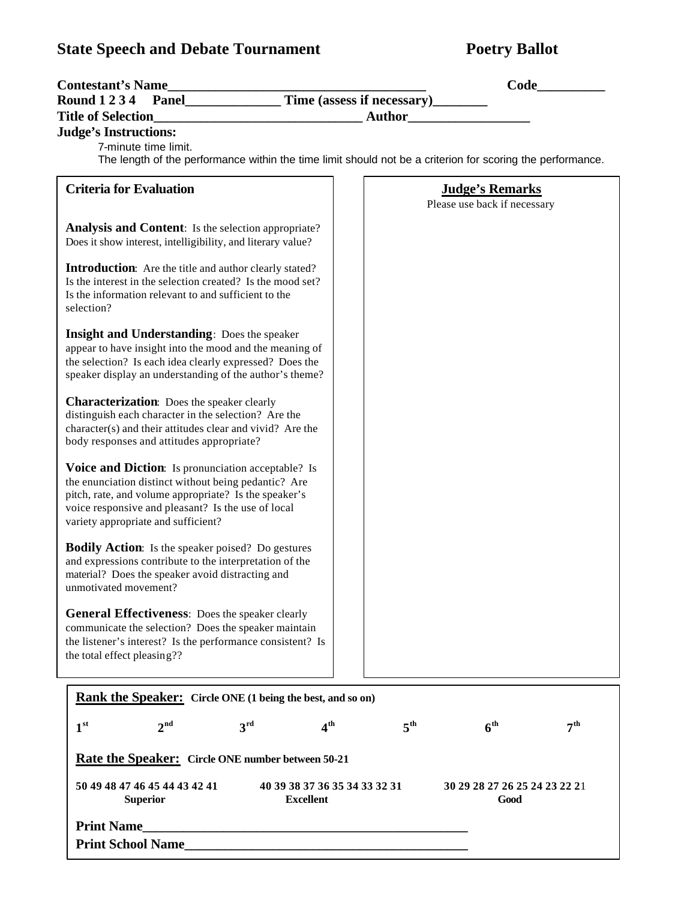# **State Speech and Debate Tournament <b>Poetry Ballot**

| <b>Contestant's Name</b>                                                                                                           | Code_                           |                 |
|------------------------------------------------------------------------------------------------------------------------------------|---------------------------------|-----------------|
| Round 1 2 3 4 Panel Time (assess if necessary)                                                                                     |                                 |                 |
|                                                                                                                                    | <b>Author</b>                   |                 |
| <b>Judge's Instructions:</b>                                                                                                       |                                 |                 |
| 7-minute time limit.<br>The length of the performance within the time limit should not be a criterion for scoring the performance. |                                 |                 |
|                                                                                                                                    |                                 |                 |
| <b>Criteria for Evaluation</b>                                                                                                     | <b>Judge's Remarks</b>          |                 |
|                                                                                                                                    | Please use back if necessary    |                 |
| <b>Analysis and Content:</b> Is the selection appropriate?                                                                         |                                 |                 |
| Does it show interest, intelligibility, and literary value?                                                                        |                                 |                 |
|                                                                                                                                    |                                 |                 |
| <b>Introduction:</b> Are the title and author clearly stated?<br>Is the interest in the selection created? Is the mood set?        |                                 |                 |
| Is the information relevant to and sufficient to the                                                                               |                                 |                 |
| selection?                                                                                                                         |                                 |                 |
| <b>Insight and Understanding:</b> Does the speaker                                                                                 |                                 |                 |
| appear to have insight into the mood and the meaning of                                                                            |                                 |                 |
| the selection? Is each idea clearly expressed? Does the                                                                            |                                 |                 |
| speaker display an understanding of the author's theme?                                                                            |                                 |                 |
|                                                                                                                                    |                                 |                 |
| <b>Characterization:</b> Does the speaker clearly<br>distinguish each character in the selection? Are the                          |                                 |                 |
| character(s) and their attitudes clear and vivid? Are the                                                                          |                                 |                 |
| body responses and attitudes appropriate?                                                                                          |                                 |                 |
|                                                                                                                                    |                                 |                 |
| Voice and Diction: Is pronunciation acceptable? Is<br>the enunciation distinct without being pedantic? Are                         |                                 |                 |
| pitch, rate, and volume appropriate? Is the speaker's                                                                              |                                 |                 |
| voice responsive and pleasant? Is the use of local                                                                                 |                                 |                 |
| variety appropriate and sufficient?                                                                                                |                                 |                 |
| <b>Bodily Action:</b> Is the speaker poised? Do gestures                                                                           |                                 |                 |
| and expressions contribute to the interpretation of the                                                                            |                                 |                 |
| material? Does the speaker avoid distracting and                                                                                   |                                 |                 |
| unmotivated movement?                                                                                                              |                                 |                 |
| General Effectiveness: Does the speaker clearly                                                                                    |                                 |                 |
| communicate the selection? Does the speaker maintain                                                                               |                                 |                 |
| the listener's interest? Is the performance consistent? Is                                                                         |                                 |                 |
| the total effect pleasing??                                                                                                        |                                 |                 |
|                                                                                                                                    |                                 |                 |
| Rank the Speaker: Circle ONE (1 being the best, and so on)                                                                         |                                 |                 |
|                                                                                                                                    |                                 |                 |
| 3 <sup>rd</sup><br>1 <sup>st</sup><br>$2^{\text{nd}}$<br>4 <sup>th</sup>                                                           | $5^{\rm th}$<br>6 <sup>th</sup> | 7 <sup>th</sup> |
|                                                                                                                                    |                                 |                 |
| <b>Rate the Speaker:</b> Circle ONE number between 50-21                                                                           |                                 |                 |
| 50 49 48 47 46 45 44 43 42 41<br>40 39 38 37 36 35 34 33 32 31                                                                     | 30 29 28 27 26 25 24 23 22 21   |                 |
| <b>Excellent</b><br><b>Superior</b>                                                                                                | Good                            |                 |
| <b>Print Name</b>                                                                                                                  |                                 |                 |
|                                                                                                                                    |                                 |                 |
| <b>Print School Name</b>                                                                                                           |                                 |                 |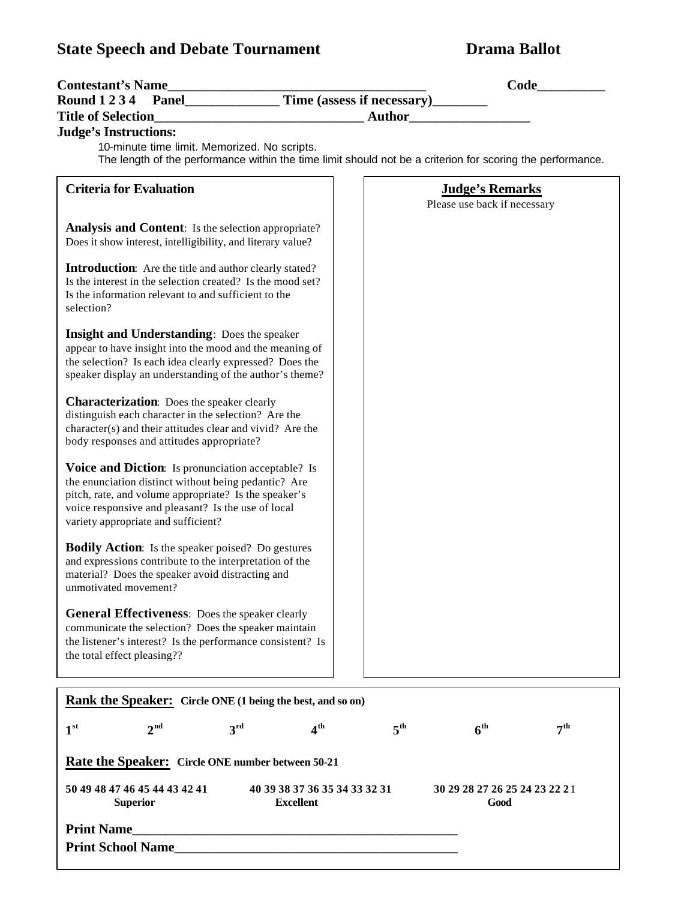# **State Speech and Debate Tournament Drama Ballot**

| <b>Contestant's Name</b><br><u> 1989 - Johann Barn, mars ann an t-Amhain an t-A</u>                                                                                                                                                                              | Code                                                                                                       |
|------------------------------------------------------------------------------------------------------------------------------------------------------------------------------------------------------------------------------------------------------------------|------------------------------------------------------------------------------------------------------------|
| <b>Panel____________</b><br><b>Round 1234</b>                                                                                                                                                                                                                    | Time (assess if necessary)_______                                                                          |
| <b>Title of Selection</b>                                                                                                                                                                                                                                        | <b>Author</b>                                                                                              |
| <b>Judge's Instructions:</b>                                                                                                                                                                                                                                     |                                                                                                            |
| 10-minute time limit. Memorized. No scripts.                                                                                                                                                                                                                     | The length of the performance within the time limit should not be a criterion for scoring the performance. |
| <b>Criteria for Evaluation</b>                                                                                                                                                                                                                                   | <b>Judge's Remarks</b>                                                                                     |
|                                                                                                                                                                                                                                                                  | Please use back if necessary                                                                               |
| Analysis and Content: Is the selection appropriate?<br>Does it show interest, intelligibility, and literary value?                                                                                                                                               |                                                                                                            |
| <b>Introduction:</b> Are the title and author clearly stated?<br>Is the interest in the selection created? Is the mood set?<br>Is the information relevant to and sufficient to the<br>selection?                                                                |                                                                                                            |
| <b>Insight and Understanding:</b> Does the speaker<br>appear to have insight into the mood and the meaning of<br>the selection? Is each idea clearly expressed? Does the<br>speaker display an understanding of the author's theme?                              |                                                                                                            |
| Characterization: Does the speaker clearly<br>distinguish each character in the selection? Are the<br>character(s) and their attitudes clear and vivid? Are the<br>body responses and attitudes appropriate?                                                     |                                                                                                            |
| Voice and Diction: Is pronunciation acceptable? Is<br>the enunciation distinct without being pedantic? Are<br>pitch, rate, and volume appropriate? Is the speaker's<br>voice responsive and pleasant? Is the use of local<br>variety appropriate and sufficient? |                                                                                                            |
| <b>Bodily Action:</b> Is the speaker poised? Do gestures<br>and expressions contribute to the interpretation of the<br>material? Does the speaker avoid distracting and<br>unmotivated movement?                                                                 |                                                                                                            |
| <b>General Effectiveness:</b> Does the speaker clearly<br>communicate the selection? Does the speaker maintain<br>the listener's interest? Is the performance consistent? Is<br>the total effect pleasing??                                                      |                                                                                                            |
| Rank the Speaker: Circle ONE (1 being the best, and so on)                                                                                                                                                                                                       |                                                                                                            |
| 2 <sup>nd</sup><br>4 <sup>th</sup><br>3 <sup>rd</sup><br>1 <sup>st</sup>                                                                                                                                                                                         | 6 <sup>th</sup><br>5 <sup>th</sup><br>7 <sup>th</sup>                                                      |
| <b>Rate the Speaker:</b> Circle ONE number between 50-21                                                                                                                                                                                                         |                                                                                                            |
| 50 49 48 47 46 45 44 43 42 41<br>40 39 38 37 36 35 34 33 32 31<br><b>Excellent</b><br><b>Superior</b>                                                                                                                                                            | 30 29 28 27 26 25 24 23 22 21<br>Good                                                                      |
| <b>Print Name</b>                                                                                                                                                                                                                                                |                                                                                                            |
| <b>Print School Name</b>                                                                                                                                                                                                                                         |                                                                                                            |
|                                                                                                                                                                                                                                                                  |                                                                                                            |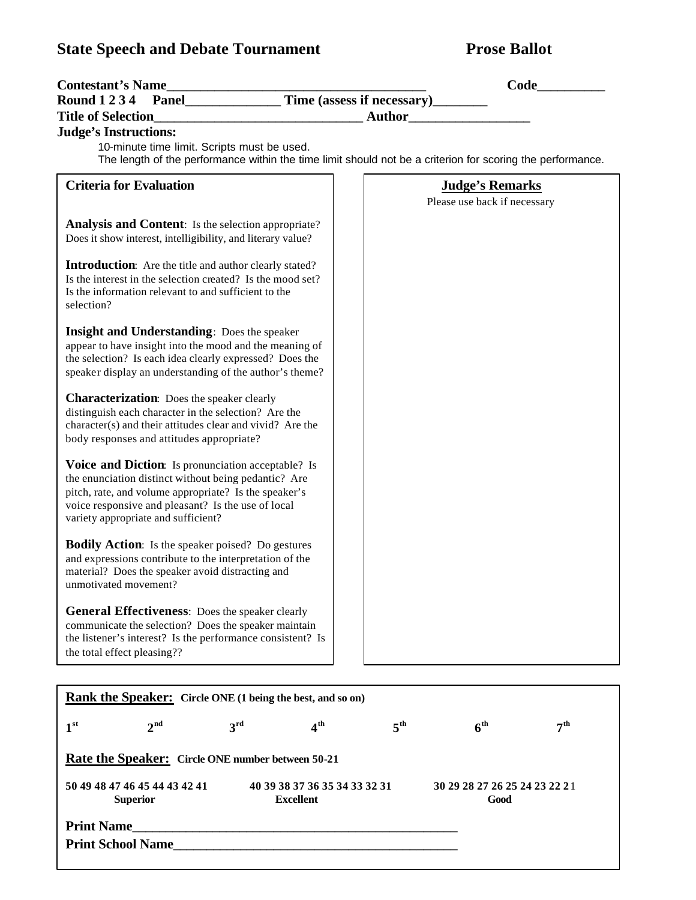# **State Speech and Debate Tournament Prose Ballot**

| <b>Title of Selection</b><br><b>Judge's Instructions:</b>                                                                                                                                                                                                        |                                                   |                 |                                                        |                 |
|------------------------------------------------------------------------------------------------------------------------------------------------------------------------------------------------------------------------------------------------------------------|---------------------------------------------------|-----------------|--------------------------------------------------------|-----------------|
|                                                                                                                                                                                                                                                                  |                                                   |                 |                                                        |                 |
|                                                                                                                                                                                                                                                                  |                                                   |                 | <b>Author</b>                                          |                 |
| 10-minute time limit. Scripts must be used.<br>The length of the performance within the time limit should not be a criterion for scoring the performance.                                                                                                        |                                                   |                 |                                                        |                 |
| <b>Criteria for Evaluation</b>                                                                                                                                                                                                                                   |                                                   |                 | <b>Judge's Remarks</b><br>Please use back if necessary |                 |
| Analysis and Content: Is the selection appropriate?<br>Does it show interest, intelligibility, and literary value?                                                                                                                                               |                                                   |                 |                                                        |                 |
| <b>Introduction:</b> Are the title and author clearly stated?<br>Is the interest in the selection created? Is the mood set?<br>Is the information relevant to and sufficient to the<br>selection?                                                                |                                                   |                 |                                                        |                 |
| <b>Insight and Understanding: Does the speaker</b><br>appear to have insight into the mood and the meaning of<br>the selection? Is each idea clearly expressed? Does the<br>speaker display an understanding of the author's theme?                              |                                                   |                 |                                                        |                 |
| <b>Characterization:</b> Does the speaker clearly<br>distinguish each character in the selection? Are the<br>character(s) and their attitudes clear and vivid? Are the<br>body responses and attitudes appropriate?                                              |                                                   |                 |                                                        |                 |
| Voice and Diction: Is pronunciation acceptable? Is<br>the enunciation distinct without being pedantic? Are<br>pitch, rate, and volume appropriate? Is the speaker's<br>voice responsive and pleasant? Is the use of local<br>variety appropriate and sufficient? |                                                   |                 |                                                        |                 |
| <b>Bodily Action:</b> Is the speaker poised? Do gestures<br>and expressions contribute to the interpretation of the<br>material? Does the speaker avoid distracting and<br>unmotivated movement?                                                                 |                                                   |                 |                                                        |                 |
| <b>General Effectiveness:</b> Does the speaker clearly<br>communicate the selection? Does the speaker maintain<br>the listener's interest? Is the performance consistent? Is<br>the total effect pleasing??                                                      |                                                   |                 |                                                        |                 |
| <b>Rank the Speaker:</b> Circle ONE (1 being the best, and so on)                                                                                                                                                                                                |                                                   |                 |                                                        |                 |
| 2 <sup>nd</sup><br>3 <sup>rd</sup><br>1 <sup>st</sup>                                                                                                                                                                                                            | 4 <sup>th</sup>                                   | 5 <sup>th</sup> | 6 <sup>th</sup>                                        | 7 <sup>th</sup> |
|                                                                                                                                                                                                                                                                  |                                                   |                 |                                                        |                 |
| Rate the Speaker: Circle ONE number between 50-21<br>50 49 48 47 46 45 44 43 42 41<br><b>Superior</b>                                                                                                                                                            | 40 39 38 37 36 35 34 33 32 31<br><b>Excellent</b> |                 | 30 29 28 27 26 25 24 23 22 21<br>Good                  |                 |

**Print School Name\_\_\_\_\_\_\_\_\_\_\_\_\_\_\_\_\_\_\_\_\_\_\_\_\_\_\_\_\_\_\_\_\_\_\_\_\_\_\_\_\_\_**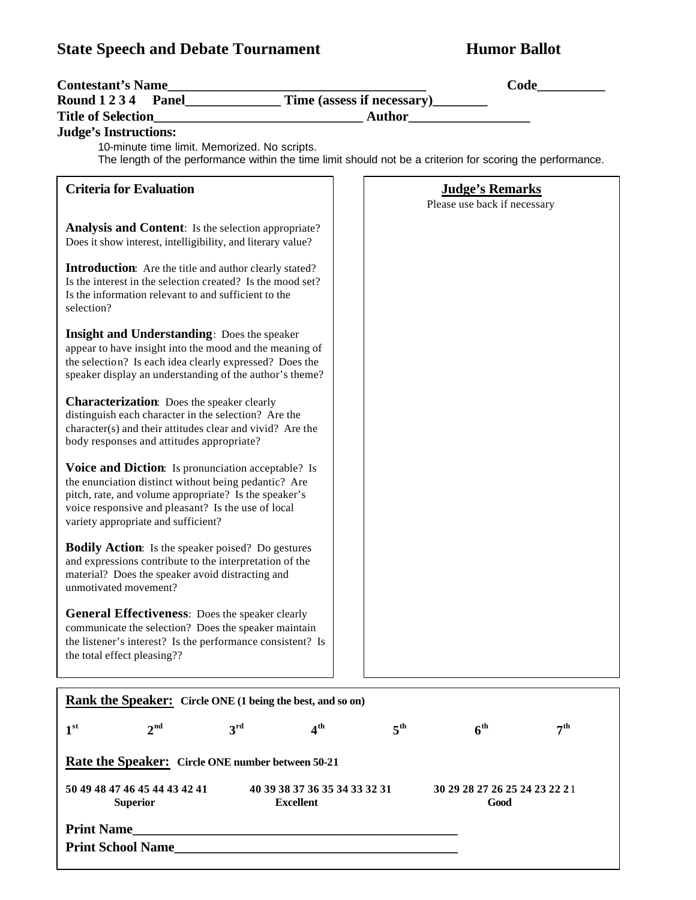# **State Speech and Debate Tournament Humor Ballot**

| <b>Contestant's Name</b>                                                                                                                                                                                                                                         |                                                                                                            |
|------------------------------------------------------------------------------------------------------------------------------------------------------------------------------------------------------------------------------------------------------------------|------------------------------------------------------------------------------------------------------------|
|                                                                                                                                                                                                                                                                  |                                                                                                            |
| <b>Title of Selection</b><br><u> 1990 - Johann Harry Harry Harry Harry Harry Harry Harry Harry Harry Harry Harry Harry Harry Harry Harry Harry</u><br><b>Judge's Instructions:</b>                                                                               | <b>Author</b>                                                                                              |
| 10-minute time limit. Memorized. No scripts.                                                                                                                                                                                                                     | The length of the performance within the time limit should not be a criterion for scoring the performance. |
| <b>Criteria for Evaluation</b>                                                                                                                                                                                                                                   | <b>Judge's Remarks</b><br>Please use back if necessary                                                     |
| <b>Analysis and Content:</b> Is the selection appropriate?<br>Does it show interest, intelligibility, and literary value?                                                                                                                                        |                                                                                                            |
| <b>Introduction:</b> Are the title and author clearly stated?<br>Is the interest in the selection created? Is the mood set?<br>Is the information relevant to and sufficient to the<br>selection?                                                                |                                                                                                            |
| <b>Insight and Understanding:</b> Does the speaker<br>appear to have insight into the mood and the meaning of<br>the selection? Is each idea clearly expressed? Does the<br>speaker display an understanding of the author's theme?                              |                                                                                                            |
| <b>Characterization:</b> Does the speaker clearly<br>distinguish each character in the selection? Are the<br>character(s) and their attitudes clear and vivid? Are the<br>body responses and attitudes appropriate?                                              |                                                                                                            |
| Voice and Diction: Is pronunciation acceptable? Is<br>the enunciation distinct without being pedantic? Are<br>pitch, rate, and volume appropriate? Is the speaker's<br>voice responsive and pleasant? Is the use of local<br>variety appropriate and sufficient? |                                                                                                            |
| <b>Bodily Action:</b> Is the speaker poised? Do gestures<br>and expressions contribute to the interpretation of the<br>material? Does the speaker avoid distracting and<br>unmotivated movement?                                                                 |                                                                                                            |
| <b>General Effectiveness:</b> Does the speaker clearly<br>communicate the selection? Does the speaker maintain<br>the listener's interest? Is the performance consistent? Is<br>the total effect pleasing??                                                      |                                                                                                            |
| Rank the Speaker: Circle ONE (1 being the best, and so on)                                                                                                                                                                                                       |                                                                                                            |
| 1 <sup>st</sup><br>2 <sup>nd</sup><br>3 <sup>rd</sup><br>4 <sup>th</sup>                                                                                                                                                                                         | 5 <sup>th</sup><br>6 <sup>th</sup><br>7 <sup>th</sup>                                                      |
| <b>Rate the Speaker:</b> Circle ONE number between 50-21                                                                                                                                                                                                         |                                                                                                            |
| 50 49 48 47 46 45 44 43 42 41<br>40 39 38 37 36 35 34 33 32 31<br><b>Excellent</b><br><b>Superior</b>                                                                                                                                                            | 30 29 28 27 26 25 24 23 22 21<br>Good                                                                      |
| <b>Print Name</b>                                                                                                                                                                                                                                                |                                                                                                            |
| <b>Print School Name</b>                                                                                                                                                                                                                                         |                                                                                                            |
|                                                                                                                                                                                                                                                                  |                                                                                                            |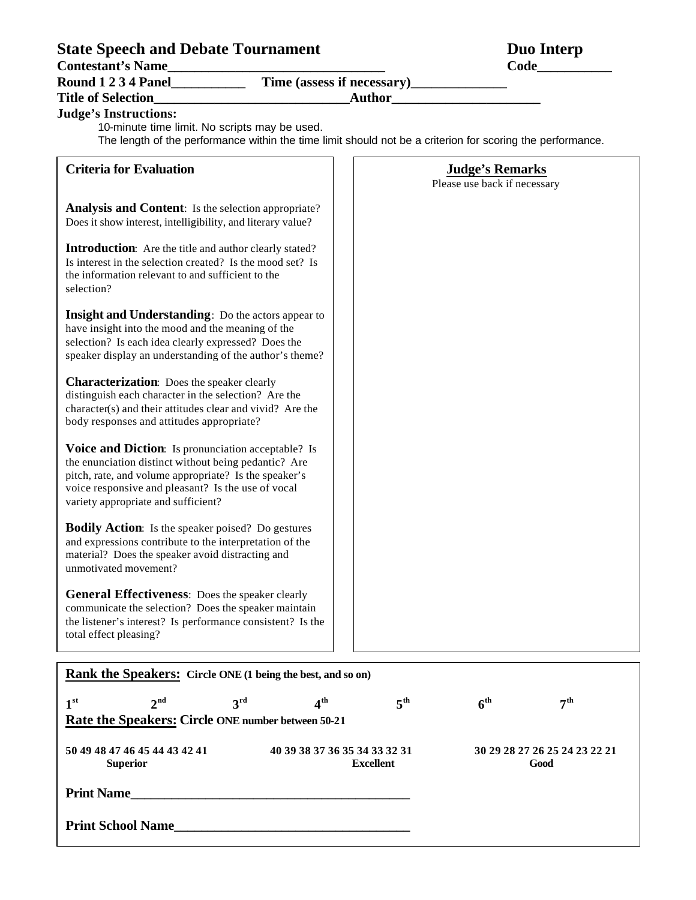# **State Speech and Debate Tournament Duo Interp<br>
Contestant's Name<br>
Code**

Contestant's Name

**Round 1 2 3 4 Panel\_\_\_\_\_\_\_\_\_\_\_ Time (assess if necessary)\_\_\_\_\_\_\_\_\_\_\_\_\_\_**

## **Title of Selection\_\_\_\_\_\_\_\_\_\_\_\_\_\_\_\_\_\_\_\_\_\_\_\_\_\_\_\_\_Author\_\_\_\_\_\_\_\_\_\_\_\_\_\_\_\_\_\_\_\_\_\_**

**Judge's Instructions:**

10-minute time limit. No scripts may be used.

The length of the performance within the time limit should not be a criterion for scoring the performance.

| <b>Criteria for Evaluation</b>                                                                                                                                                                                                                                   |                 | <b>Judge's Remarks</b><br>Please use back if necessary |                 |  |
|------------------------------------------------------------------------------------------------------------------------------------------------------------------------------------------------------------------------------------------------------------------|-----------------|--------------------------------------------------------|-----------------|--|
| <b>Analysis and Content:</b> Is the selection appropriate?<br>Does it show interest, intelligibility, and literary value?                                                                                                                                        |                 |                                                        |                 |  |
| <b>Introduction:</b> Are the title and author clearly stated?<br>Is interest in the selection created? Is the mood set? Is<br>the information relevant to and sufficient to the<br>selection?                                                                    |                 |                                                        |                 |  |
| <b>Insight and Understanding:</b> Do the actors appear to<br>have insight into the mood and the meaning of the<br>selection? Is each idea clearly expressed? Does the<br>speaker display an understanding of the author's theme?                                 |                 |                                                        |                 |  |
| <b>Characterization:</b> Does the speaker clearly<br>distinguish each character in the selection? Are the<br>character(s) and their attitudes clear and vivid? Are the<br>body responses and attitudes appropriate?                                              |                 |                                                        |                 |  |
| Voice and Diction: Is pronunciation acceptable? Is<br>the enunciation distinct without being pedantic? Are<br>pitch, rate, and volume appropriate? Is the speaker's<br>voice responsive and pleasant? Is the use of vocal<br>variety appropriate and sufficient? |                 |                                                        |                 |  |
| <b>Bodily Action:</b> Is the speaker poised? Do gestures<br>and expressions contribute to the interpretation of the<br>material? Does the speaker avoid distracting and<br>unmotivated movement?                                                                 |                 |                                                        |                 |  |
| General Effectiveness: Does the speaker clearly<br>communicate the selection? Does the speaker maintain<br>the listener's interest? Is performance consistent? Is the<br>total effect pleasing?                                                                  |                 |                                                        |                 |  |
| <b>Rank the Speakers:</b> Circle ONE (1 being the best, and so on)                                                                                                                                                                                               |                 |                                                        |                 |  |
| 1 <sup>st</sup><br>$2^{\text{nd}}$<br>3 <sup>rd</sup><br>4 <sup>th</sup>                                                                                                                                                                                         | 5 <sup>th</sup> | 6 <sup>th</sup>                                        | 7 <sup>th</sup> |  |
| Rate the Speakers: Circle ONE number between 50-21                                                                                                                                                                                                               |                 |                                                        |                 |  |

**50 49 48 47 46 45 44 43 42 41 40 39 38 37 36 35 34 33 32 31 30 29 28 27 26 25 24 23 22 21**

**Superior Excellent Good**

**Print Name\_\_\_\_\_\_\_\_\_\_\_\_\_\_\_\_\_\_\_\_\_\_\_\_\_\_\_\_\_\_\_\_\_\_\_\_\_\_\_\_\_**

**Print School Name**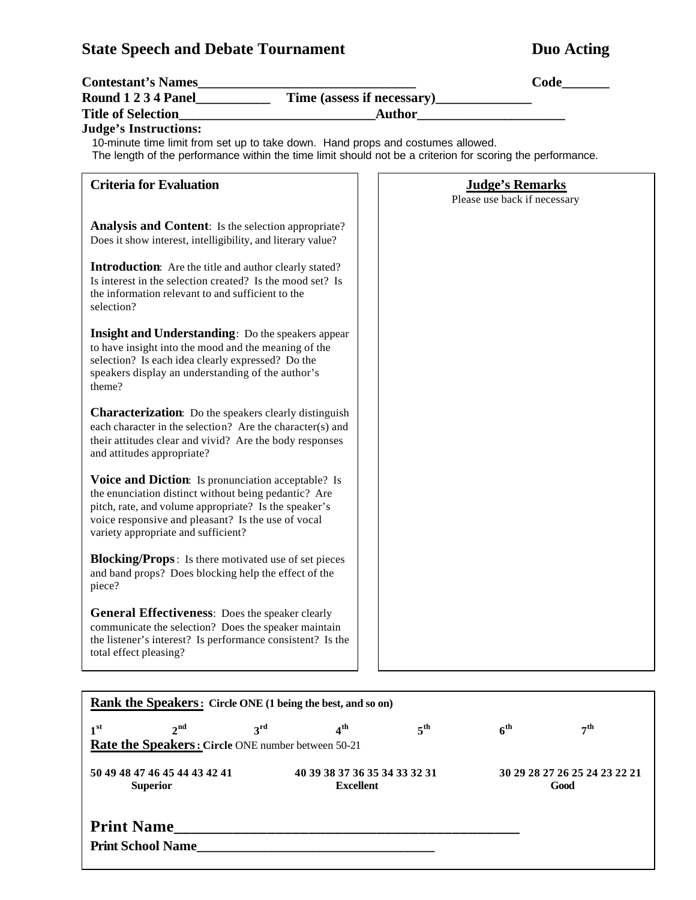I

| <b>State Speech and Debate Tournament</b>                                                                                                                                                                                                                        | <b>Duo Acting</b>                                                                                          |
|------------------------------------------------------------------------------------------------------------------------------------------------------------------------------------------------------------------------------------------------------------------|------------------------------------------------------------------------------------------------------------|
|                                                                                                                                                                                                                                                                  | Code                                                                                                       |
|                                                                                                                                                                                                                                                                  |                                                                                                            |
| <b>Title of Selection</b>                                                                                                                                                                                                                                        |                                                                                                            |
| <b>Judge's Instructions:</b><br>10-minute time limit from set up to take down. Hand props and costumes allowed.                                                                                                                                                  | The length of the performance within the time limit should not be a criterion for scoring the performance. |
| <b>Criteria for Evaluation</b>                                                                                                                                                                                                                                   | <b>Judge's Remarks</b><br>Please use back if necessary                                                     |
| <b>Analysis and Content:</b> Is the selection appropriate?<br>Does it show interest, intelligibility, and literary value?                                                                                                                                        |                                                                                                            |
| <b>Introduction:</b> Are the title and author clearly stated?<br>Is interest in the selection created? Is the mood set? Is<br>the information relevant to and sufficient to the<br>selection?                                                                    |                                                                                                            |
| <b>Insight and Understanding:</b> Do the speakers appear<br>to have insight into the mood and the meaning of the<br>selection? Is each idea clearly expressed? Do the<br>speakers display an understanding of the author's<br>theme?                             |                                                                                                            |
| <b>Characterization:</b> Do the speakers clearly distinguish<br>each character in the selection? Are the character(s) and<br>their attitudes clear and vivid? Are the body responses<br>and attitudes appropriate?                                               |                                                                                                            |
| Voice and Diction: Is pronunciation acceptable? Is<br>the enunciation distinct without being pedantic? Are<br>pitch, rate, and volume appropriate? Is the speaker's<br>voice responsive and pleasant? Is the use of vocal<br>variety appropriate and sufficient? |                                                                                                            |
| <b>Blocking/Props:</b> Is there motivated use of set pieces<br>and band props? Does blocking help the effect of the<br>piece?                                                                                                                                    |                                                                                                            |
| <b>General Effectiveness:</b> Does the speaker clearly<br>communicate the selection? Does the speaker maintain<br>the listener's interest? Is performance consistent? Is the<br>total effect pleasing?                                                           |                                                                                                            |

|                               |                 | Rank the Speakers: Circle ONE (1 being the best, and so on) |                               |                 |                 |                               |
|-------------------------------|-----------------|-------------------------------------------------------------|-------------------------------|-----------------|-----------------|-------------------------------|
| 1 <sup>st</sup>               | $2^{\text{nd}}$ | $3^{\text{rd}}$                                             | 4 <sup>th</sup>               | 5 <sup>th</sup> | 6 <sup>th</sup> | $\bm{\tau}$ th                |
|                               |                 | Rate the Speakers: Circle ONE number between 50-21          |                               |                 |                 |                               |
| 50 49 48 47 46 45 44 43 42 41 |                 |                                                             | 40 39 38 37 36 35 34 33 32 31 |                 |                 | 30 29 28 27 26 25 24 23 22 21 |
| <b>Superior</b>               |                 |                                                             | <b>Excellent</b>              |                 |                 | Good                          |
|                               |                 |                                                             |                               |                 |                 |                               |
| <b>Print Name</b>             |                 |                                                             |                               |                 |                 |                               |
| <b>Print School Name</b>      |                 |                                                             |                               |                 |                 |                               |
|                               |                 |                                                             |                               |                 |                 |                               |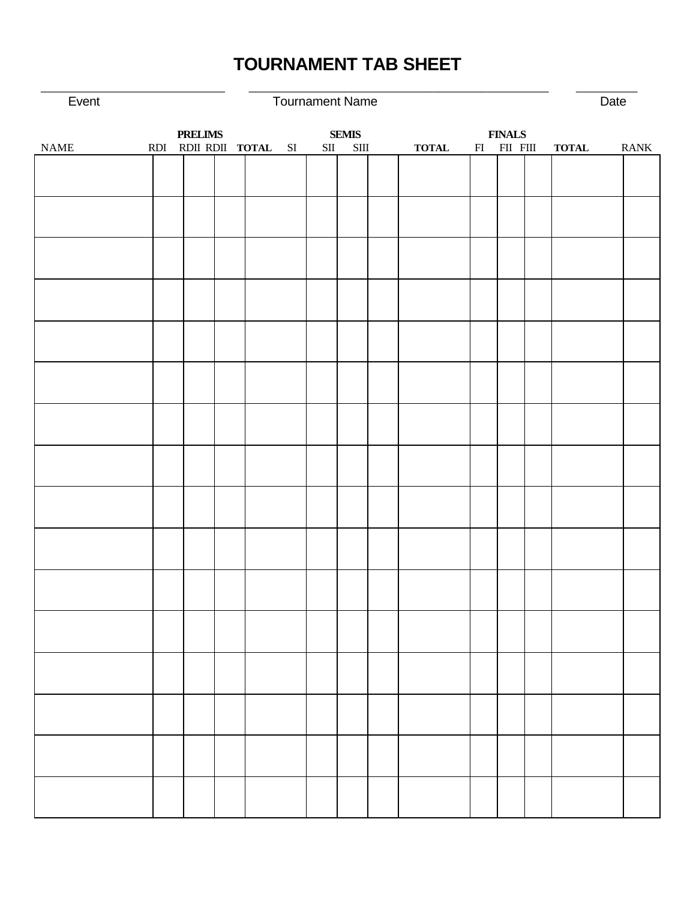# **TOURNAMENT TAB SHEET**

\_\_\_\_\_\_\_\_\_\_\_\_\_\_\_\_\_\_\_\_\_\_\_\_\_\_\_ \_\_\_\_\_\_\_\_\_\_\_\_\_\_\_\_\_\_\_\_\_\_\_\_\_\_\_\_\_\_\_\_\_\_\_\_\_\_\_\_\_\_\_\_ \_\_\_\_\_\_\_\_\_

| Event                        |                |                       | <b>Tournament Name</b> |                       |              |                    | Date         |             |
|------------------------------|----------------|-----------------------|------------------------|-----------------------|--------------|--------------------|--------------|-------------|
|                              | <b>PRELIMS</b> |                       |                        | <b>SEMIS</b>          |              | <b>FINALS</b>      |              |             |
| $\ensuremath{\mathsf{NAME}}$ |                | RDI RDI RDII TOTAL SI | SII                    | $\operatorname{SIII}$ | <b>TOTAL</b> | $FII$ $FII$ $FIII$ | <b>TOTAL</b> | <b>RANK</b> |
|                              |                |                       |                        |                       |              |                    |              |             |
|                              |                |                       |                        |                       |              |                    |              |             |
|                              |                |                       |                        |                       |              |                    |              |             |
|                              |                |                       |                        |                       |              |                    |              |             |
|                              |                |                       |                        |                       |              |                    |              |             |
|                              |                |                       |                        |                       |              |                    |              |             |
|                              |                |                       |                        |                       |              |                    |              |             |
|                              |                |                       |                        |                       |              |                    |              |             |
|                              |                |                       |                        |                       |              |                    |              |             |
|                              |                |                       |                        |                       |              |                    |              |             |
|                              |                |                       |                        |                       |              |                    |              |             |
|                              |                |                       |                        |                       |              |                    |              |             |
|                              |                |                       |                        |                       |              |                    |              |             |
|                              |                |                       |                        |                       |              |                    |              |             |
|                              |                |                       |                        |                       |              |                    |              |             |
|                              |                |                       |                        |                       |              |                    |              |             |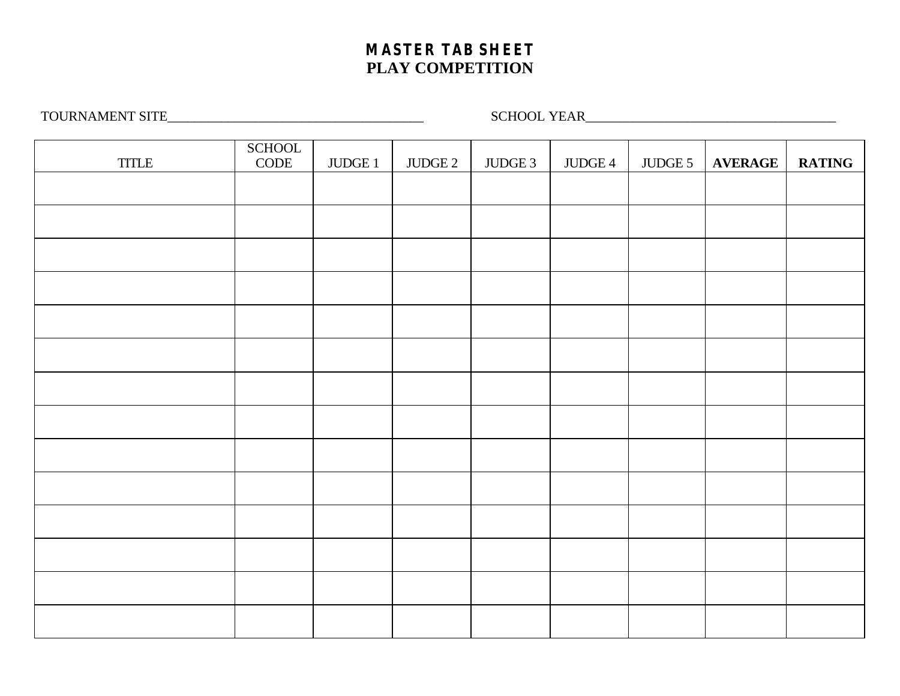# **MASTER TAB SHEET PLAY COMPETITION**

TOURNAMENT SITE\_\_\_\_\_\_\_\_\_\_\_\_\_\_\_\_\_\_\_\_\_\_\_\_\_\_\_\_\_\_\_\_\_\_\_\_\_\_ SCHOOL YEAR\_\_\_\_\_\_\_\_\_\_\_\_\_\_\_\_\_\_\_\_\_\_\_\_\_\_\_\_\_\_\_\_\_\_\_\_\_

|                                                                   | SCHOOL<br>CODE |                 |                 |         |         |         |                |               |
|-------------------------------------------------------------------|----------------|-----------------|-----------------|---------|---------|---------|----------------|---------------|
| $\ensuremath{\mathsf{T}\mathsf{T}\mathsf{T}\mathsf{L}\mathsf{E}}$ |                | $\rm JUDGE$ $1$ | $\rm JUDGE$ $2$ | JUDGE 3 | JUDGE 4 | JUDGE 5 | <b>AVERAGE</b> | <b>RATING</b> |
|                                                                   |                |                 |                 |         |         |         |                |               |
|                                                                   |                |                 |                 |         |         |         |                |               |
|                                                                   |                |                 |                 |         |         |         |                |               |
|                                                                   |                |                 |                 |         |         |         |                |               |
|                                                                   |                |                 |                 |         |         |         |                |               |
|                                                                   |                |                 |                 |         |         |         |                |               |
|                                                                   |                |                 |                 |         |         |         |                |               |
|                                                                   |                |                 |                 |         |         |         |                |               |
|                                                                   |                |                 |                 |         |         |         |                |               |
|                                                                   |                |                 |                 |         |         |         |                |               |
|                                                                   |                |                 |                 |         |         |         |                |               |
|                                                                   |                |                 |                 |         |         |         |                |               |
|                                                                   |                |                 |                 |         |         |         |                |               |
|                                                                   |                |                 |                 |         |         |         |                |               |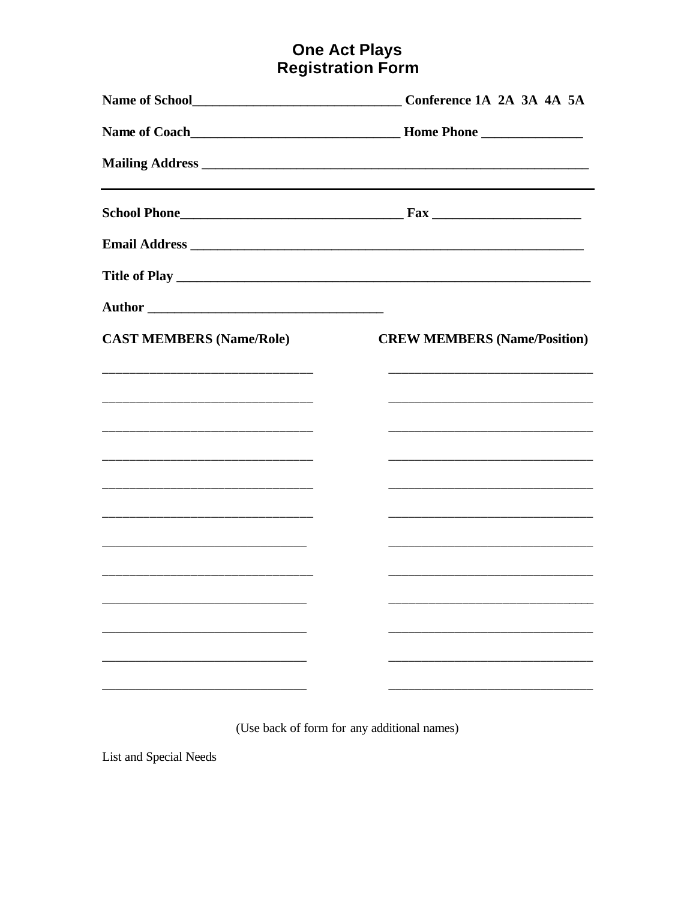# **One Act Plays<br>Registration Form**

|                                 | Conference 1A 2A 3A 4A 5A                                                                                             |
|---------------------------------|-----------------------------------------------------------------------------------------------------------------------|
|                                 |                                                                                                                       |
|                                 |                                                                                                                       |
|                                 |                                                                                                                       |
|                                 |                                                                                                                       |
|                                 |                                                                                                                       |
|                                 |                                                                                                                       |
| <b>CAST MEMBERS (Name/Role)</b> | <b>CREW MEMBERS (Name/Position)</b>                                                                                   |
|                                 |                                                                                                                       |
|                                 |                                                                                                                       |
|                                 |                                                                                                                       |
|                                 |                                                                                                                       |
|                                 | <u> 1980 - Johann John Harry, mars and de finland and de finland and de finland and definition of the set of the </u> |
|                                 |                                                                                                                       |
|                                 | <u> 1989 - Johann John Harry, mars eta bat eta bat eta bat eta bat ez arte eta bat eta bat ez arte eta bat eta b</u>  |
|                                 |                                                                                                                       |
|                                 |                                                                                                                       |
|                                 |                                                                                                                       |
|                                 |                                                                                                                       |
|                                 |                                                                                                                       |

(Use back of form for any additional names)

List and Special Needs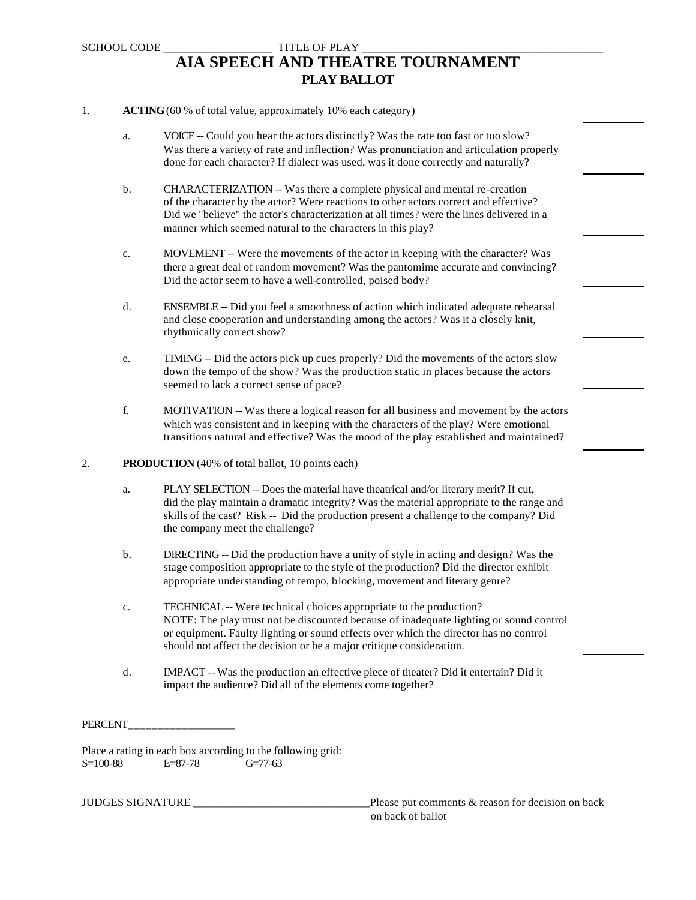### SCHOOL CODE TITLE OF PLAY **AIA SPEECH AND THEATRE TOURNAMENT PLAY BALLOT**

#### 1. **ACTING** (60 % of total value, approximately 10% each category)

- a. VOICE -- Could you hear the actors distinctly? Was the rate too fast or too slow? Was there a variety of rate and inflection? Was pronunciation and articulation properly done for each character? If dialect was used, was it done correctly and naturally?
- b. CHARACTERIZATION -- Was there a complete physical and mental re-creation of the character by the actor? Were reactions to other actors correct and effective? Did we "believe" the actor's characterization at all times? were the lines delivered in a manner which seemed natural to the characters in this play?
- c. MOVEMENT -- Were the movements of the actor in keeping with the character? Was there a great deal of random movement? Was the pantomime accurate and convincing? Did the actor seem to have a well-controlled, poised body?
- d. ENSEMBLE -- Did you feel a smoothness of action which indicated adequate rehearsal and close cooperation and understanding among the actors? Was it a closely knit, rhythmically correct show?
- e. TIMING -- Did the actors pick up cues properly? Did the movements of the actors slow down the tempo of the show? Was the production static in places because the actors seemed to lack a correct sense of pace?
- f. MOTIVATION -- Was there a logical reason for all business and movement by the actors which was consistent and in keeping with the characters of the play? Were emotional transitions natural and effective? Was the mood of the play established and maintained?

#### 2. **PRODUCTION** (40% of total ballot, 10 points each)

- a. PLAY SELECTION -- Does the material have theatrical and/or literary merit? If cut, did the play maintain a dramatic integrity? Was the material appropriate to the range and skills of the cast? Risk -- Did the production present a challenge to the company? Did the company meet the challenge?
- b. DIRECTING -- Did the production have a unity of style in acting and design? Was the stage composition appropriate to the style of the production? Did the director exhibit appropriate understanding of tempo, blocking, movement and literary genre?
- c. TECHNICAL -- Were technical choices appropriate to the production? NOTE: The play must not be discounted because of inadequate lighting or sound control or equipment. Faulty lighting or sound effects over which the director has no control should not affect the decision or be a major critique consideration.
- d. IMPACT -- Was the production an effective piece of theater? Did it entertain? Did it impact the audience? Did all of the elements come together?

PERCENT\_\_\_\_\_\_\_\_\_\_\_\_\_\_\_\_\_\_

Place a rating in each box according to the following grid: S=100-88 E=87-78 G=77-63

JUDGES SIGNATURE \_\_\_\_\_\_\_\_\_\_\_\_\_\_\_\_\_\_\_\_\_\_\_\_\_\_\_\_\_\_\_Please put comments & reason for decision on back on back of ballot

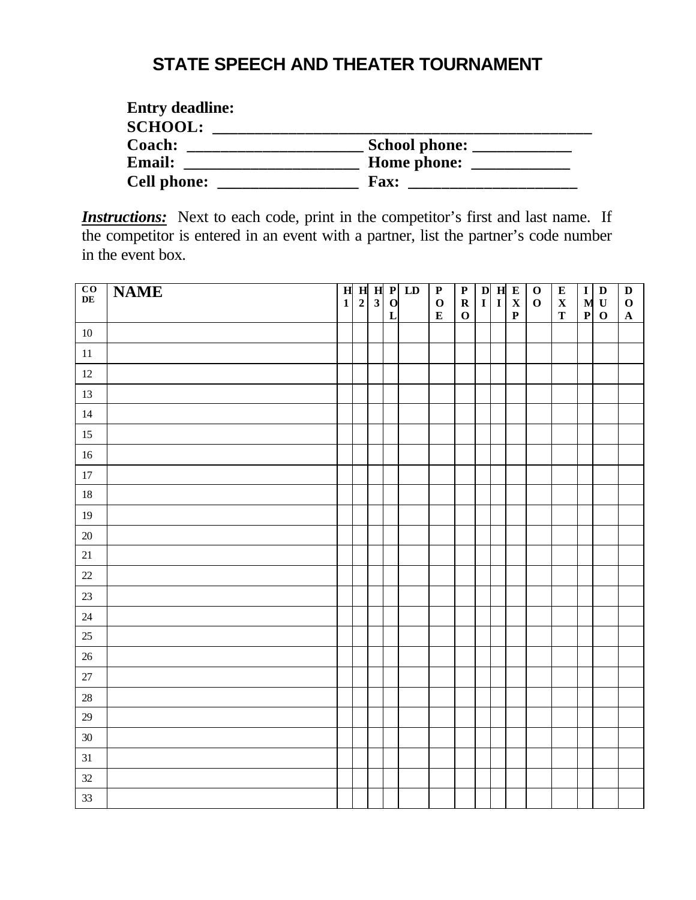# **STATE SPEECH AND THEATER TOURNAMENT**

| <b>Entry deadline:</b> |                      |
|------------------------|----------------------|
| <b>SCHOOL:</b>         |                      |
| Coach:                 | <b>School phone:</b> |
| <b>Email:</b>          | Home phone:          |
| <b>Cell phone:</b>     | <b>Fax:</b>          |

**Instructions:** Next to each code, print in the competitor's first and last name. If the competitor is entered in an event with a partner, list the partner's code number in the event box.

| $rac{CO}{DE}$ | <b>NAME</b> | $\overline{\mathbf{H}}$ |             |              |                            | $H$ $H$ $P$ $LD$ | $\overline{P}$           | $\overline{\mathbf{P}}$    |  | $\begin{array}{ c c c }\n\hline\nD & H & E \\ I & I & X\n\end{array}$ | $\overline{\mathbf{0}}$ | ${\bf E}$                  | $\mathbf I$      | $\mathbf D$                 | $\mathbf D$                |
|---------------|-------------|-------------------------|-------------|--------------|----------------------------|------------------|--------------------------|----------------------------|--|-----------------------------------------------------------------------|-------------------------|----------------------------|------------------|-----------------------------|----------------------------|
|               |             | $\mathbf{1}$            | $\mathbf 2$ | $\mathbf{3}$ | $\mathbf 0$<br>$\mathbf L$ |                  | $\mathbf 0$<br>${\bf E}$ | $\mathbf R$<br>$\mathbf 0$ |  | $\mathbf P$                                                           | $\mathbf O$             | $\mathbf X$<br>$\mathbf T$ | M<br>$\mathbf P$ | $\mathbf U$<br>$\mathbf{o}$ | $\mathbf 0$<br>$\mathbf A$ |
| $10\,$        |             |                         |             |              |                            |                  |                          |                            |  |                                                                       |                         |                            |                  |                             |                            |
| 11            |             |                         |             |              |                            |                  |                          |                            |  |                                                                       |                         |                            |                  |                             |                            |
| 12            |             |                         |             |              |                            |                  |                          |                            |  |                                                                       |                         |                            |                  |                             |                            |
| 13            |             |                         |             |              |                            |                  |                          |                            |  |                                                                       |                         |                            |                  |                             |                            |
| $14\,$        |             |                         |             |              |                            |                  |                          |                            |  |                                                                       |                         |                            |                  |                             |                            |
| $15\,$        |             |                         |             |              |                            |                  |                          |                            |  |                                                                       |                         |                            |                  |                             |                            |
| $16\,$        |             |                         |             |              |                            |                  |                          |                            |  |                                                                       |                         |                            |                  |                             |                            |
| $17\,$        |             |                         |             |              |                            |                  |                          |                            |  |                                                                       |                         |                            |                  |                             |                            |
| $18\,$        |             |                         |             |              |                            |                  |                          |                            |  |                                                                       |                         |                            |                  |                             |                            |
| 19            |             |                         |             |              |                            |                  |                          |                            |  |                                                                       |                         |                            |                  |                             |                            |
| $20\,$        |             |                         |             |              |                            |                  |                          |                            |  |                                                                       |                         |                            |                  |                             |                            |
| $21\,$        |             |                         |             |              |                            |                  |                          |                            |  |                                                                       |                         |                            |                  |                             |                            |
| $22\,$        |             |                         |             |              |                            |                  |                          |                            |  |                                                                       |                         |                            |                  |                             |                            |
| 23            |             |                         |             |              |                            |                  |                          |                            |  |                                                                       |                         |                            |                  |                             |                            |
| $24\,$        |             |                         |             |              |                            |                  |                          |                            |  |                                                                       |                         |                            |                  |                             |                            |
| $25\,$        |             |                         |             |              |                            |                  |                          |                            |  |                                                                       |                         |                            |                  |                             |                            |
| $26\,$        |             |                         |             |              |                            |                  |                          |                            |  |                                                                       |                         |                            |                  |                             |                            |
| 27            |             |                         |             |              |                            |                  |                          |                            |  |                                                                       |                         |                            |                  |                             |                            |
| $28\,$        |             |                         |             |              |                            |                  |                          |                            |  |                                                                       |                         |                            |                  |                             |                            |
| 29            |             |                         |             |              |                            |                  |                          |                            |  |                                                                       |                         |                            |                  |                             |                            |
| $30\,$        |             |                         |             |              |                            |                  |                          |                            |  |                                                                       |                         |                            |                  |                             |                            |
| 31            |             |                         |             |              |                            |                  |                          |                            |  |                                                                       |                         |                            |                  |                             |                            |
| 32            |             |                         |             |              |                            |                  |                          |                            |  |                                                                       |                         |                            |                  |                             |                            |
| 33            |             |                         |             |              |                            |                  |                          |                            |  |                                                                       |                         |                            |                  |                             |                            |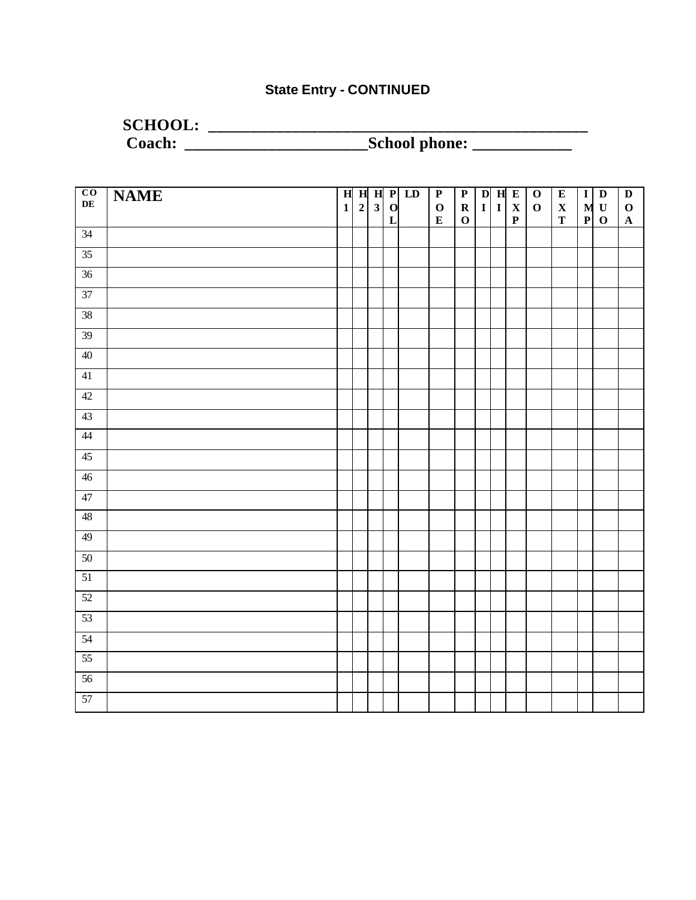## **State Entry - CONTINUED**

# **SCHOOL: \_\_\_\_\_\_\_\_\_\_\_\_\_\_\_\_\_\_\_\_\_\_\_\_\_\_\_\_\_\_\_\_\_\_\_\_\_\_\_\_\_\_\_\_\_ Coach: \_\_\_\_\_\_\_\_\_\_\_\_\_\_\_\_\_\_\_\_\_\_School phone: \_\_\_\_\_\_\_\_\_\_\_\_**

| $rac{\text{CO}}{\text{DE}}$ | <b>NAME</b> |              |             |                         |                             | $H$ $H$ $H$ $P$ $LD$ | $\overline{P}$           | $\overline{P}$ |              |              | $D$ H E                    | $\overline{\mathbf{0}}$ | $\overline{\mathbf{E}}$    | $\overline{I}$   | $\overline{\mathbf{D}}$    | $\overline{\mathbf{D}}$ |
|-----------------------------|-------------|--------------|-------------|-------------------------|-----------------------------|----------------------|--------------------------|----------------|--------------|--------------|----------------------------|-------------------------|----------------------------|------------------|----------------------------|-------------------------|
|                             |             | $\mathbf{1}$ | $\mathbf 2$ | $\overline{\mathbf{3}}$ | $\mathbf{o}$<br>$\mathbf L$ |                      | $\mathbf 0$<br>${\bf E}$ | $\mathbf R$    | $\mathbf{I}$ | $\mathbf{I}$ | $\mathbf X$<br>$\mathbf P$ | $\mathbf O$             | $\mathbf X$<br>$\mathbf T$ | M<br>$\mathbf P$ | $\mathbf U$<br>$\mathbf 0$ | $\mathbf O$             |
| 34                          |             |              |             |                         |                             |                      |                          | $\mathbf 0$    |              |              |                            |                         |                            |                  |                            | $\mathbf A$             |
| $\overline{35}$             |             |              |             |                         |                             |                      |                          |                |              |              |                            |                         |                            |                  |                            |                         |
| 36                          |             |              |             |                         |                             |                      |                          |                |              |              |                            |                         |                            |                  |                            |                         |
| 37                          |             |              |             |                         |                             |                      |                          |                |              |              |                            |                         |                            |                  |                            |                         |
| 38                          |             |              |             |                         |                             |                      |                          |                |              |              |                            |                         |                            |                  |                            |                         |
| 39                          |             |              |             |                         |                             |                      |                          |                |              |              |                            |                         |                            |                  |                            |                         |
| 40                          |             |              |             |                         |                             |                      |                          |                |              |              |                            |                         |                            |                  |                            |                         |
| 41                          |             |              |             |                         |                             |                      |                          |                |              |              |                            |                         |                            |                  |                            |                         |
| 42                          |             |              |             |                         |                             |                      |                          |                |              |              |                            |                         |                            |                  |                            |                         |
|                             |             |              |             |                         |                             |                      |                          |                |              |              |                            |                         |                            |                  |                            |                         |
| 43                          |             |              |             |                         |                             |                      |                          |                |              |              |                            |                         |                            |                  |                            |                         |
| 44                          |             |              |             |                         |                             |                      |                          |                |              |              |                            |                         |                            |                  |                            |                         |
| 45                          |             |              |             |                         |                             |                      |                          |                |              |              |                            |                         |                            |                  |                            |                         |
| 46                          |             |              |             |                         |                             |                      |                          |                |              |              |                            |                         |                            |                  |                            |                         |
| 47                          |             |              |             |                         |                             |                      |                          |                |              |              |                            |                         |                            |                  |                            |                         |
| 48                          |             |              |             |                         |                             |                      |                          |                |              |              |                            |                         |                            |                  |                            |                         |
| 49                          |             |              |             |                         |                             |                      |                          |                |              |              |                            |                         |                            |                  |                            |                         |
| 50                          |             |              |             |                         |                             |                      |                          |                |              |              |                            |                         |                            |                  |                            |                         |
| 51                          |             |              |             |                         |                             |                      |                          |                |              |              |                            |                         |                            |                  |                            |                         |
| 52                          |             |              |             |                         |                             |                      |                          |                |              |              |                            |                         |                            |                  |                            |                         |
| 53                          |             |              |             |                         |                             |                      |                          |                |              |              |                            |                         |                            |                  |                            |                         |
| 54                          |             |              |             |                         |                             |                      |                          |                |              |              |                            |                         |                            |                  |                            |                         |
| $\overline{55}$             |             |              |             |                         |                             |                      |                          |                |              |              |                            |                         |                            |                  |                            |                         |
| $\overline{56}$             |             |              |             |                         |                             |                      |                          |                |              |              |                            |                         |                            |                  |                            |                         |
| 57                          |             |              |             |                         |                             |                      |                          |                |              |              |                            |                         |                            |                  |                            |                         |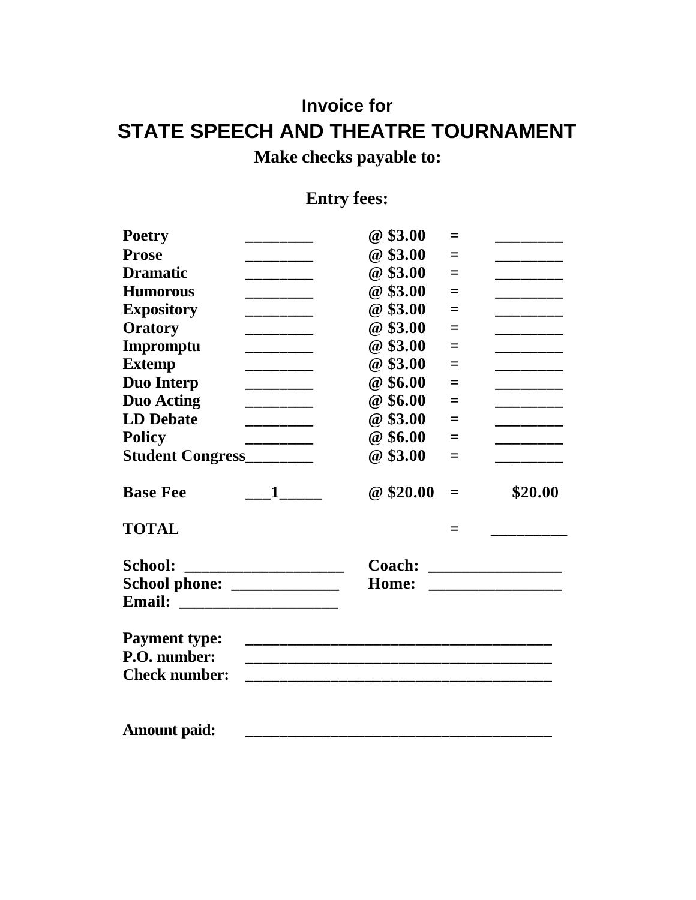# **Invoice for STATE SPEECH AND THEATRE TOURNAMENT**

**Make checks payable to:**

# **Entry fees:**

| <b>Poetry</b>                                | @\$3.00  | $=$ |                                                        |
|----------------------------------------------|----------|-----|--------------------------------------------------------|
| <b>Prose</b><br>________                     | @\$3.00  | $=$ | _______                                                |
| <b>Dramatic</b><br>________                  | @\$3.00  | $=$ | _________                                              |
| <b>Humorous</b><br>________                  | @\$3.00  | $=$ | ________                                               |
| <b>Expository</b><br>________                | @\$3.00  | $=$ | _________                                              |
| Oratory<br>_________                         | @\$3.00  | $=$ | ________                                               |
| Impromptu<br>________                        | @\$3.00  | $=$ | ________                                               |
| <b>Extemp</b><br>_________                   | @\$3.00  | $=$ | ________                                               |
| <b>Duo Interp</b><br>_________               | @\$6.00  | $=$ | _________                                              |
| <b>Duo Acting</b><br>—————————————           | @\$6.00  | $=$ | ________                                               |
| <b>LD</b> Debate<br>_____________            | @ \$3.00 | $=$ | ________                                               |
| <b>Policy</b><br>_________                   | @\$6.00  | $=$ | ________                                               |
| Student Congress_________                    | @\$3.00  | $=$ | ______                                                 |
| <b>Base Fee</b><br>$\sim$ 1 $\sim$           | @\$20.00 | $=$ | \$20.00                                                |
|                                              |          |     |                                                        |
| <b>TOTAL</b>                                 |          | =   |                                                        |
| <b>School:</b>                               |          |     |                                                        |
| _____________________________                | Home:    |     | Coach: __________________<br>_________________________ |
| School phone: _____________<br><b>Email:</b> |          |     |                                                        |
| <b>Payment type:</b>                         |          |     |                                                        |
| P.O. number:                                 |          |     |                                                        |
| <b>Check number:</b>                         |          |     |                                                        |
|                                              |          |     |                                                        |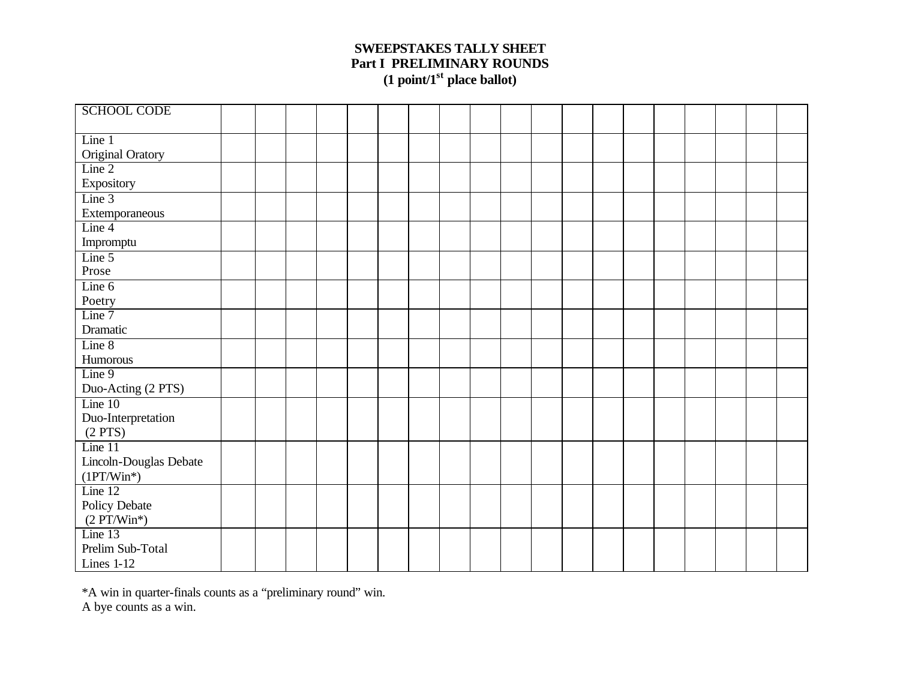### **SWEEPSTAKES TALLY SHEET Part I PRELIMINARY ROUNDS (1 point/1st place ballot)**

| <b>SCHOOL CODE</b>         |  |  |  |  |  |  |  |  |  |  |
|----------------------------|--|--|--|--|--|--|--|--|--|--|
| Line 1                     |  |  |  |  |  |  |  |  |  |  |
| Original Oratory           |  |  |  |  |  |  |  |  |  |  |
| $\overline{\text{Line 2}}$ |  |  |  |  |  |  |  |  |  |  |
| Expository                 |  |  |  |  |  |  |  |  |  |  |
| Line 3                     |  |  |  |  |  |  |  |  |  |  |
| Extemporaneous             |  |  |  |  |  |  |  |  |  |  |
| Line 4                     |  |  |  |  |  |  |  |  |  |  |
| Impromptu                  |  |  |  |  |  |  |  |  |  |  |
| Line 5                     |  |  |  |  |  |  |  |  |  |  |
| $\mathop{\mathsf{Prose}}$  |  |  |  |  |  |  |  |  |  |  |
| Line $6$                   |  |  |  |  |  |  |  |  |  |  |
| Poetry                     |  |  |  |  |  |  |  |  |  |  |
| Line 7                     |  |  |  |  |  |  |  |  |  |  |
| Dramatic                   |  |  |  |  |  |  |  |  |  |  |
| Line 8                     |  |  |  |  |  |  |  |  |  |  |
| Humorous                   |  |  |  |  |  |  |  |  |  |  |
| Line 9                     |  |  |  |  |  |  |  |  |  |  |
| Duo-Acting (2 PTS)         |  |  |  |  |  |  |  |  |  |  |
| Line $10$                  |  |  |  |  |  |  |  |  |  |  |
| Duo-Interpretation         |  |  |  |  |  |  |  |  |  |  |
| $(2$ PTS $)$               |  |  |  |  |  |  |  |  |  |  |
| Line 11                    |  |  |  |  |  |  |  |  |  |  |
| Lincoln-Douglas Debate     |  |  |  |  |  |  |  |  |  |  |
| $(1PT/Win^*)$<br>Line 12   |  |  |  |  |  |  |  |  |  |  |
| Policy Debate              |  |  |  |  |  |  |  |  |  |  |
| $(2 PT/Win^*)$             |  |  |  |  |  |  |  |  |  |  |
| Line 13                    |  |  |  |  |  |  |  |  |  |  |
| Prelim Sub-Total           |  |  |  |  |  |  |  |  |  |  |
| Lines 1-12                 |  |  |  |  |  |  |  |  |  |  |
|                            |  |  |  |  |  |  |  |  |  |  |

\*A win in quarter-finals counts as a "preliminary round" win. A bye counts as a win.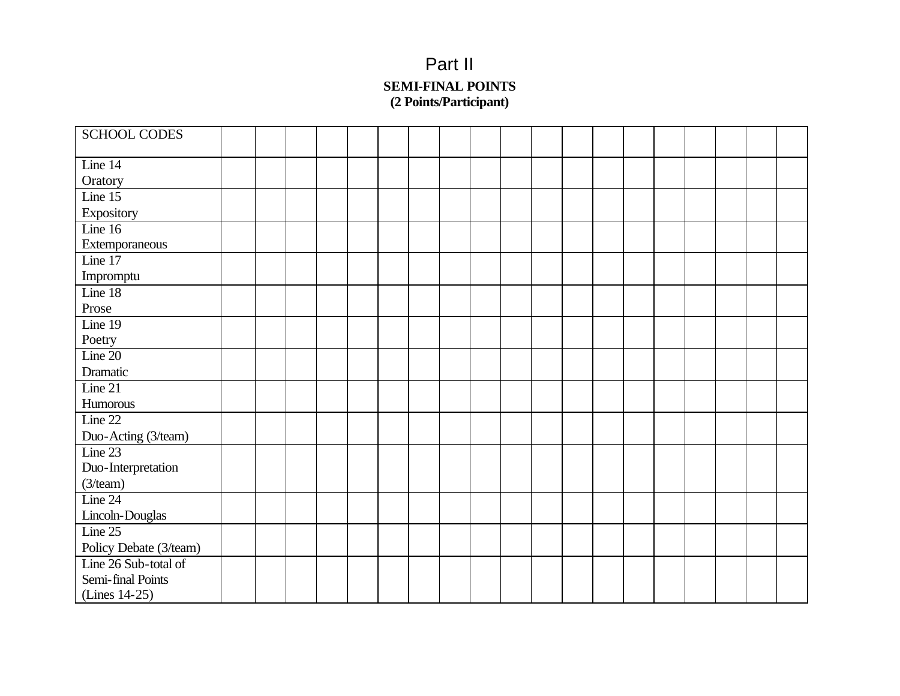# Part II **SEMI -FINAL POINTS (2 Points/Participant)**

| <b>SCHOOL CODES</b>    |  |  |  |  |  |  |  |  |  |  |
|------------------------|--|--|--|--|--|--|--|--|--|--|
| Line 14                |  |  |  |  |  |  |  |  |  |  |
| Oratory                |  |  |  |  |  |  |  |  |  |  |
| Line 15                |  |  |  |  |  |  |  |  |  |  |
| Expository             |  |  |  |  |  |  |  |  |  |  |
| Line 16                |  |  |  |  |  |  |  |  |  |  |
| Extemporaneous         |  |  |  |  |  |  |  |  |  |  |
| Line 17                |  |  |  |  |  |  |  |  |  |  |
| Impromptu              |  |  |  |  |  |  |  |  |  |  |
| Line 18                |  |  |  |  |  |  |  |  |  |  |
| Prose                  |  |  |  |  |  |  |  |  |  |  |
| Line $19$              |  |  |  |  |  |  |  |  |  |  |
| Poetry                 |  |  |  |  |  |  |  |  |  |  |
| Line $20$              |  |  |  |  |  |  |  |  |  |  |
| Dramatic               |  |  |  |  |  |  |  |  |  |  |
| Line 21                |  |  |  |  |  |  |  |  |  |  |
| Humorous               |  |  |  |  |  |  |  |  |  |  |
| Line 22                |  |  |  |  |  |  |  |  |  |  |
| Duo-Acting (3/team)    |  |  |  |  |  |  |  |  |  |  |
| Line 23                |  |  |  |  |  |  |  |  |  |  |
| Duo-Interpretation     |  |  |  |  |  |  |  |  |  |  |
| (3/team)               |  |  |  |  |  |  |  |  |  |  |
| Line 24                |  |  |  |  |  |  |  |  |  |  |
| Lincoln-Douglas        |  |  |  |  |  |  |  |  |  |  |
| Line 25                |  |  |  |  |  |  |  |  |  |  |
| Policy Debate (3/team) |  |  |  |  |  |  |  |  |  |  |
| Line 26 Sub-total of   |  |  |  |  |  |  |  |  |  |  |
| Semi-final Points      |  |  |  |  |  |  |  |  |  |  |
| (Lines 14-25)          |  |  |  |  |  |  |  |  |  |  |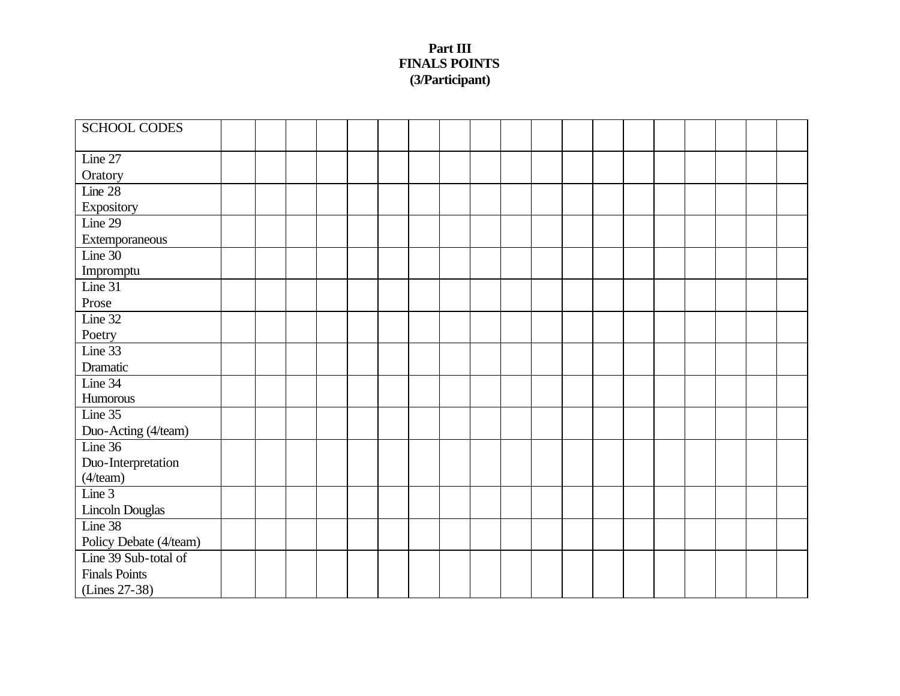### **Part III FINALS POINTS (3/Participant)**

| <b>SCHOOL CODES</b>    |  |  |  |  |  |  |  |  |  |
|------------------------|--|--|--|--|--|--|--|--|--|
|                        |  |  |  |  |  |  |  |  |  |
| Line 27                |  |  |  |  |  |  |  |  |  |
| Oratory                |  |  |  |  |  |  |  |  |  |
| Line 28                |  |  |  |  |  |  |  |  |  |
| Expository             |  |  |  |  |  |  |  |  |  |
| Line 29                |  |  |  |  |  |  |  |  |  |
| Extemporaneous         |  |  |  |  |  |  |  |  |  |
| Line 30                |  |  |  |  |  |  |  |  |  |
| Impromptu              |  |  |  |  |  |  |  |  |  |
| Line 31                |  |  |  |  |  |  |  |  |  |
| Prose                  |  |  |  |  |  |  |  |  |  |
| Line 32                |  |  |  |  |  |  |  |  |  |
| Poetry                 |  |  |  |  |  |  |  |  |  |
| Line 33                |  |  |  |  |  |  |  |  |  |
| Dramatic               |  |  |  |  |  |  |  |  |  |
| Line 34                |  |  |  |  |  |  |  |  |  |
| Humorous               |  |  |  |  |  |  |  |  |  |
| Line 35                |  |  |  |  |  |  |  |  |  |
| Duo-Acting (4/team)    |  |  |  |  |  |  |  |  |  |
| Line 36                |  |  |  |  |  |  |  |  |  |
| Duo-Interpretation     |  |  |  |  |  |  |  |  |  |
| (4/team)               |  |  |  |  |  |  |  |  |  |
| Line 3                 |  |  |  |  |  |  |  |  |  |
| Lincoln Douglas        |  |  |  |  |  |  |  |  |  |
| Line 38                |  |  |  |  |  |  |  |  |  |
| Policy Debate (4/team) |  |  |  |  |  |  |  |  |  |
| Line 39 Sub-total of   |  |  |  |  |  |  |  |  |  |
| <b>Finals Points</b>   |  |  |  |  |  |  |  |  |  |
| (Lines 27-38)          |  |  |  |  |  |  |  |  |  |